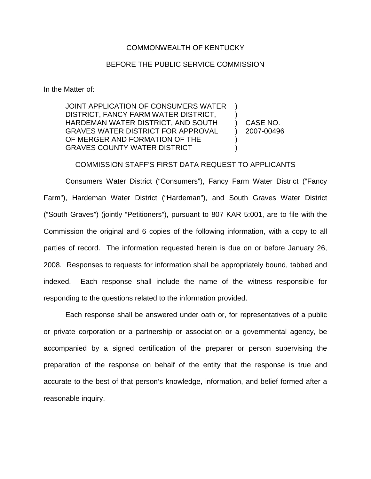## COMMONWEALTH OF KENTUCKY

## BEFORE THE PUBLIC SERVICE COMMISSION

In the Matter of:

JOINT APPLICATION OF CONSUMERS WATER DISTRICT, FANCY FARM WATER DISTRICT, HARDEMAN WATER DISTRICT, AND SOUTH GRAVES WATER DISTRICT FOR APPROVAL OF MERGER AND FORMATION OF THE GRAVES COUNTY WATER DISTRICT ) ) ) CASE NO. ) 2007-00496 )  $\lambda$ 

## COMMISSION STAFF'S FIRST DATA REQUEST TO APPLICANTS

Consumers Water District ("Consumers"), Fancy Farm Water District ("Fancy Farm"), Hardeman Water District ("Hardeman"), and South Graves Water District ("South Graves") (jointly "Petitioners"), pursuant to 807 KAR 5:001, are to file with the Commission the original and 6 copies of the following information, with a copy to all parties of record. The information requested herein is due on or before January 26, 2008. Responses to requests for information shall be appropriately bound, tabbed and indexed. Each response shall include the name of the witness responsible for responding to the questions related to the information provided.

Each response shall be answered under oath or, for representatives of a public or private corporation or a partnership or association or a governmental agency, be accompanied by a signed certification of the preparer or person supervising the preparation of the response on behalf of the entity that the response is true and accurate to the best of that person's knowledge, information, and belief formed after a reasonable inquiry.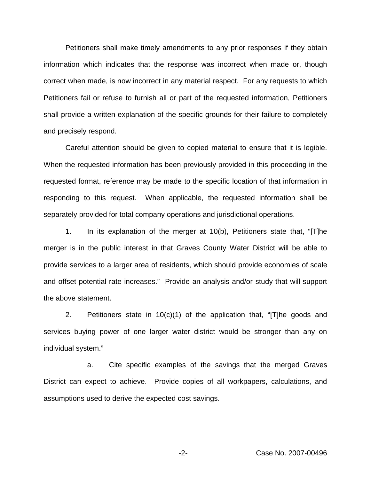Petitioners shall make timely amendments to any prior responses if they obtain information which indicates that the response was incorrect when made or, though correct when made, is now incorrect in any material respect. For any requests to which Petitioners fail or refuse to furnish all or part of the requested information, Petitioners shall provide a written explanation of the specific grounds for their failure to completely and precisely respond.

Careful attention should be given to copied material to ensure that it is legible. When the requested information has been previously provided in this proceeding in the requested format, reference may be made to the specific location of that information in responding to this request. When applicable, the requested information shall be separately provided for total company operations and jurisdictional operations.

1. In its explanation of the merger at 10(b), Petitioners state that, "[T]he merger is in the public interest in that Graves County Water District will be able to provide services to a larger area of residents, which should provide economies of scale and offset potential rate increases." Provide an analysis and/or study that will support the above statement.

2. Petitioners state in 10(c)(1) of the application that, "[T]he goods and services buying power of one larger water district would be stronger than any on individual system."

a. Cite specific examples of the savings that the merged Graves District can expect to achieve. Provide copies of all workpapers, calculations, and assumptions used to derive the expected cost savings.

-2- Case No. 2007-00496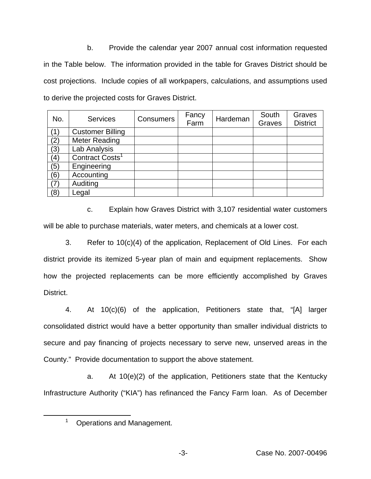b. Provide the calendar year 2007 annual cost information requested in the Table below. The information provided in the table for Graves District should be cost projections. Include copies of all workpapers, calculations, and assumptions used to derive the projected costs for Graves District.

| No. | <b>Services</b>             | <b>Consumers</b> | Fancy<br>Farm | Hardeman | South<br>Graves | Graves<br><b>District</b> |
|-----|-----------------------------|------------------|---------------|----------|-----------------|---------------------------|
| (1) | <b>Customer Billing</b>     |                  |               |          |                 |                           |
| (2) | <b>Meter Reading</b>        |                  |               |          |                 |                           |
| (3) | Lab Analysis                |                  |               |          |                 |                           |
| (4) | Contract Costs <sup>1</sup> |                  |               |          |                 |                           |
| (5) | Engineering                 |                  |               |          |                 |                           |
| (6) | Accounting                  |                  |               |          |                 |                           |
| (7) | Auditing                    |                  |               |          |                 |                           |
| (8) | Legal                       |                  |               |          |                 |                           |

c. Explain how Graves District with 3,107 residential water customers will be able to purchase materials, water meters, and chemicals at a lower cost.

3. Refer to 10(c)(4) of the application, Replacement of Old Lines. For each district provide its itemized 5-year plan of main and equipment replacements. Show how the projected replacements can be more efficiently accomplished by Graves District.

4. At 10(c)(6) of the application, Petitioners state that, "[A] larger consolidated district would have a better opportunity than smaller individual districts to secure and pay financing of projects necessary to serve new, unserved areas in the County." Provide documentation to support the above statement.

a. At 10(e)(2) of the application, Petitioners state that the Kentucky Infrastructure Authority ("KIA") has refinanced the Fancy Farm loan. As of December

<sup>&</sup>lt;sup>1</sup> Operations and Management.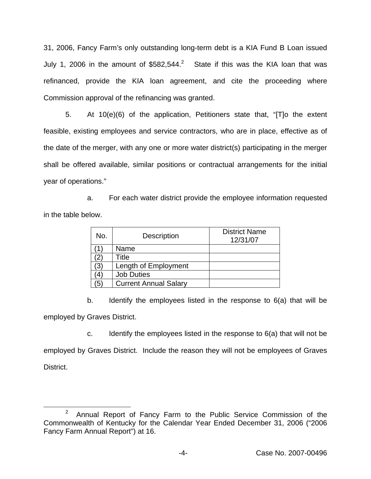31, 2006, Fancy Farm's only outstanding long-term debt is a KIA Fund B Loan issued July 1, 2006 in the amount of \$582,544.<sup>2</sup> State if this was the KIA loan that was refinanced, provide the KIA loan agreement, and cite the proceeding where Commission approval of the refinancing was granted.

5. At 10(e)(6) of the application, Petitioners state that, "[T]o the extent feasible, existing employees and service contractors, who are in place, effective as of the date of the merger, with any one or more water district(s) participating in the merger shall be offered available, similar positions or contractual arrangements for the initial year of operations."

a. For each water district provide the employee information requested in the table below.

| No. | <b>Description</b>           | <b>District Name</b><br>12/31/07 |
|-----|------------------------------|----------------------------------|
|     | Name                         |                                  |
| '2) | Title                        |                                  |
| (3) | Length of Employment         |                                  |
| 4)  | <b>Job Duties</b>            |                                  |
| (5  | <b>Current Annual Salary</b> |                                  |

b. Identify the employees listed in the response to 6(a) that will be employed by Graves District.

c. Identify the employees listed in the response to  $6(a)$  that will not be

employed by Graves District. Include the reason they will not be employees of Graves District.

<sup>&</sup>lt;sup>2</sup> Annual Report of Fancy Farm to the Public Service Commission of the Commonwealth of Kentucky for the Calendar Year Ended December 31, 2006 ("2006 Fancy Farm Annual Report") at 16.